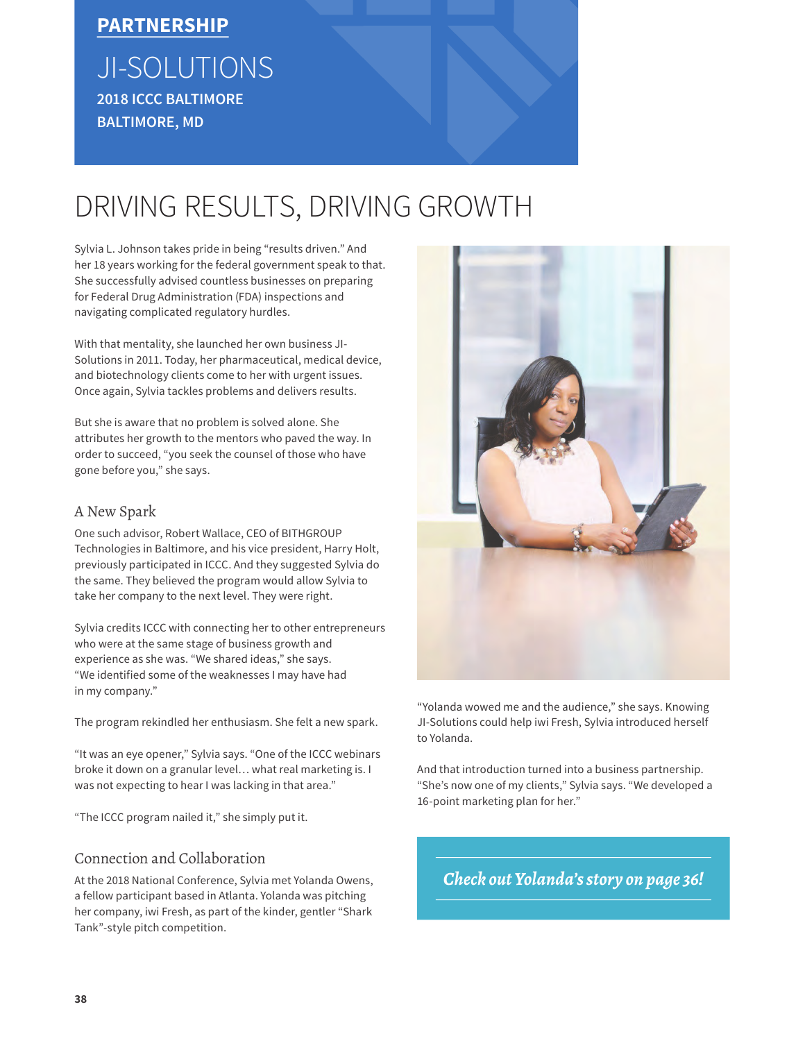### **PARTNERSHIP**

## JI-SOLUTIONS **2018 ICCC BALTIMORE BALTIMORE, MD**

# DRIVING RESULTS, DRIVING GROWTH

Sylvia L. Johnson takes pride in being "results driven." And her 18 years working for the federal government speak to that. She successfully advised countless businesses on preparing for Federal Drug Administration (FDA) inspections and navigating complicated regulatory hurdles.

With that mentality, she launched her own business JI-Solutions in 2011. Today, her pharmaceutical, medical device, and biotechnology clients come to her with urgent issues. Once again, Sylvia tackles problems and delivers results.

But she is aware that no problem is solved alone. She attributes her growth to the mentors who paved the way. In order to succeed, "you seek the counsel of those who have gone before you," she says.

#### A New Spark

One such advisor, Robert Wallace, CEO of BITHGROUP Technologies in Baltimore, and his vice president, Harry Holt, previously participated in ICCC. And they suggested Sylvia do the same. They believed the program would allow Sylvia to take her company to the next level. They were right.

Sylvia credits ICCC with connecting her to other entrepreneurs who were at the same stage of business growth and experience as she was. "We shared ideas," she says. "We identified some of the weaknesses I may have had in my company."

The program rekindled her enthusiasm. She felt a new spark.

"It was an eye opener," Sylvia says. "One of the ICCC webinars broke it down on a granular level… what real marketing is. I was not expecting to hear I was lacking in that area."

"The ICCC program nailed it," she simply put it.

#### Connection and Collaboration

At the 2018 National Conference, Sylvia met Yolanda Owens, a fellow participant based in Atlanta. Yolanda was pitching her company, iwi Fresh, as part of the kinder, gentler "Shark Tank"-style pitch competition.



"Yolanda wowed me and the audience," she says. Knowing JI-Solutions could help iwi Fresh, Sylvia introduced herself to Yolanda.

And that introduction turned into a business partnership. "She's now one of my clients," Sylvia says. "We developed a 16-point marketing plan for her."

*Check out Yolanda's story on page 36!*